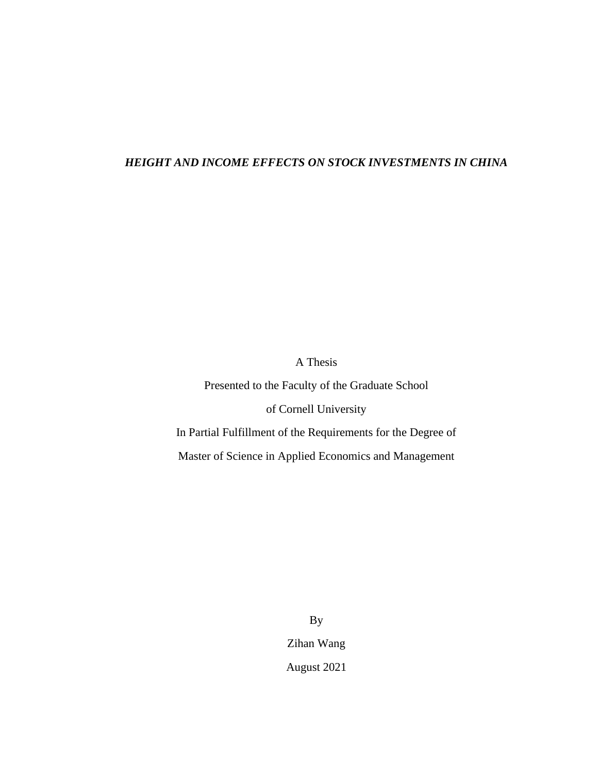## *HEIGHT AND INCOME EFFECTS ON STOCK INVESTMENTS IN CHINA*

A Thesis

Presented to the Faculty of the Graduate School

of Cornell University

In Partial Fulfillment of the Requirements for the Degree of

Master of Science in Applied Economics and Management

By Zihan Wang August 2021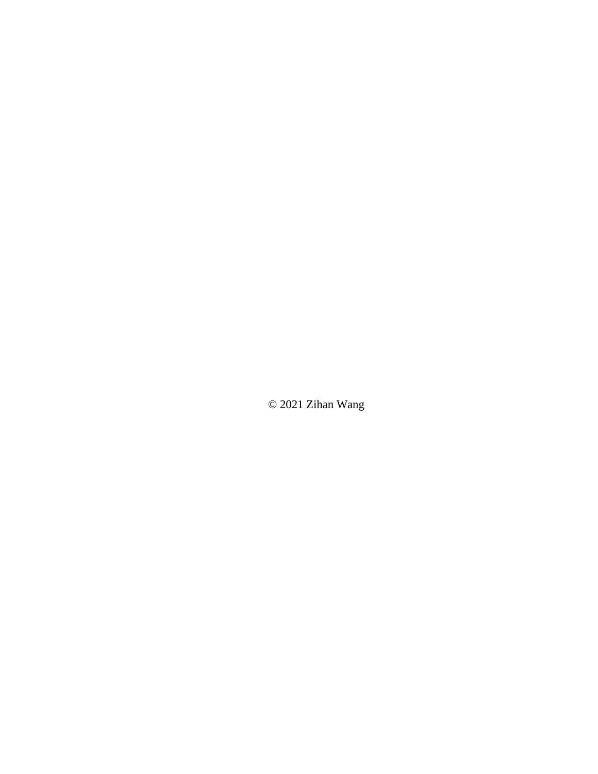© 2021 Zihan Wang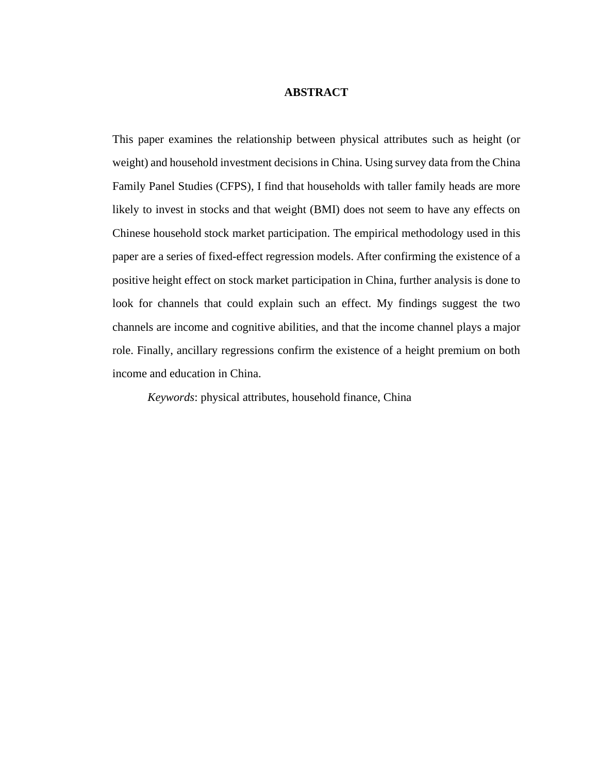### **ABSTRACT**

This paper examines the relationship between physical attributes such as height (or weight) and household investment decisions in China. Using survey data from the China Family Panel Studies (CFPS), I find that households with taller family heads are more likely to invest in stocks and that weight (BMI) does not seem to have any effects on Chinese household stock market participation. The empirical methodology used in this paper are a series of fixed-effect regression models. After confirming the existence of a positive height effect on stock market participation in China, further analysis is done to look for channels that could explain such an effect. My findings suggest the two channels are income and cognitive abilities, and that the income channel plays a major role. Finally, ancillary regressions confirm the existence of a height premium on both income and education in China.

*Keywords*: physical attributes, household finance, China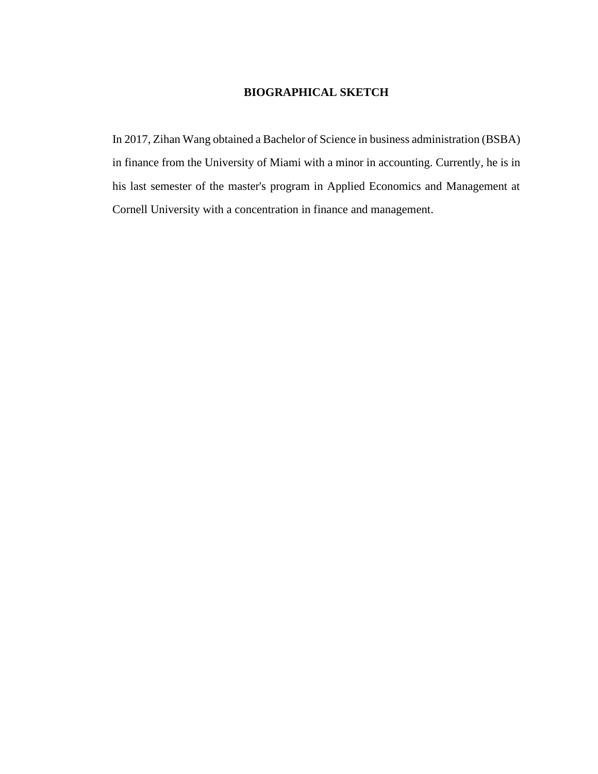## **BIOGRAPHICAL SKETCH**

In 2017, Zihan Wang obtained a Bachelor of Science in business administration (BSBA) in finance from the University of Miami with a minor in accounting. Currently, he is in his last semester of the master's program in Applied Economics and Management at Cornell University with a concentration in finance and management.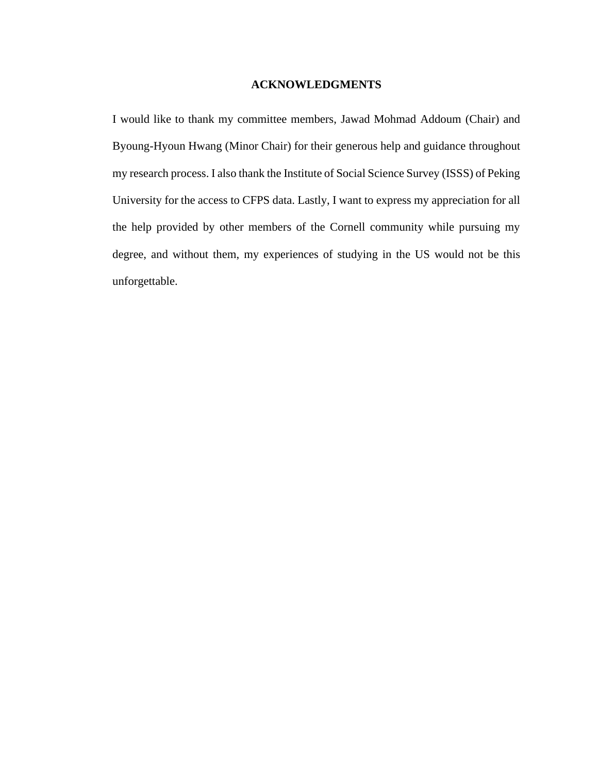#### **ACKNOWLEDGMENTS**

I would like to thank my committee members, Jawad Mohmad Addoum (Chair) and Byoung-Hyoun Hwang (Minor Chair) for their generous help and guidance throughout my research process. I also thank the Institute of Social Science Survey (ISSS) of Peking University for the access to CFPS data. Lastly, I want to express my appreciation for all the help provided by other members of the Cornell community while pursuing my degree, and without them, my experiences of studying in the US would not be this unforgettable.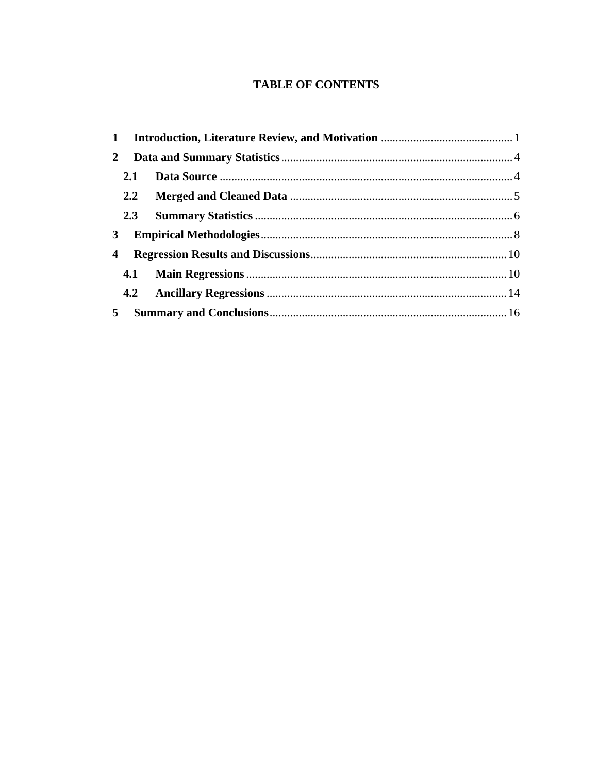## **TABLE OF CONTENTS**

<span id="page-5-0"></span>

| $\mathbf{2}$   |     |  |  |  |  |  |  |  |  |
|----------------|-----|--|--|--|--|--|--|--|--|
|                | 2.1 |  |  |  |  |  |  |  |  |
|                |     |  |  |  |  |  |  |  |  |
|                |     |  |  |  |  |  |  |  |  |
| 3 <sup>1</sup> |     |  |  |  |  |  |  |  |  |
| 4              |     |  |  |  |  |  |  |  |  |
|                | 4.1 |  |  |  |  |  |  |  |  |
|                |     |  |  |  |  |  |  |  |  |
| 5              |     |  |  |  |  |  |  |  |  |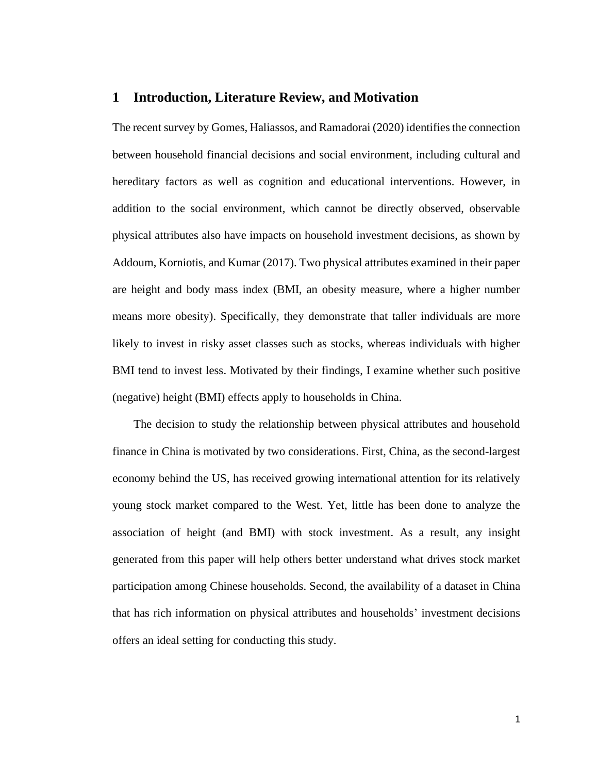#### **1 Introduction, Literature Review, and Motivation**

The recent survey by Gomes, Haliassos, and Ramadorai (2020) identifies the connection between household financial decisions and social environment, including cultural and hereditary factors as well as cognition and educational interventions. However, in addition to the social environment, which cannot be directly observed, observable physical attributes also have impacts on household investment decisions, as shown by Addoum, Korniotis, and Kumar (2017). Two physical attributes examined in their paper are height and body mass index (BMI, an obesity measure, where a higher number means more obesity). Specifically, they demonstrate that taller individuals are more likely to invest in risky asset classes such as stocks, whereas individuals with higher BMI tend to invest less. Motivated by their findings, I examine whether such positive (negative) height (BMI) effects apply to households in China.

The decision to study the relationship between physical attributes and household finance in China is motivated by two considerations. First, China, as the second-largest economy behind the US, has received growing international attention for its relatively young stock market compared to the West. Yet, little has been done to analyze the association of height (and BMI) with stock investment. As a result, any insight generated from this paper will help others better understand what drives stock market participation among Chinese households. Second, the availability of a dataset in China that has rich information on physical attributes and households' investment decisions offers an ideal setting for conducting this study.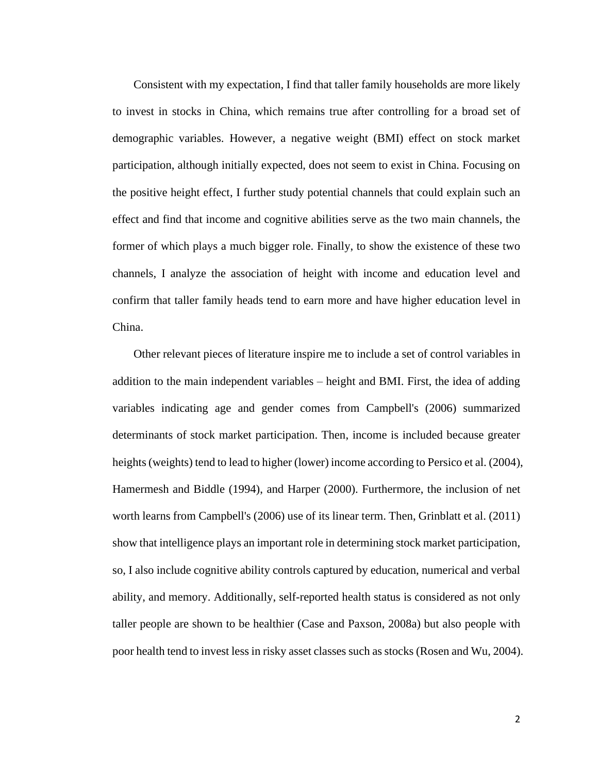Consistent with my expectation, I find that taller family households are more likely to invest in stocks in China, which remains true after controlling for a broad set of demographic variables. However, a negative weight (BMI) effect on stock market participation, although initially expected, does not seem to exist in China. Focusing on the positive height effect, I further study potential channels that could explain such an effect and find that income and cognitive abilities serve as the two main channels, the former of which plays a much bigger role. Finally, to show the existence of these two channels, I analyze the association of height with income and education level and confirm that taller family heads tend to earn more and have higher education level in China.

Other relevant pieces of literature inspire me to include a set of control variables in addition to the main independent variables – height and BMI. First, the idea of adding variables indicating age and gender comes from Campbell's (2006) summarized determinants of stock market participation. Then, income is included because greater heights (weights) tend to lead to higher (lower) income according to Persico et al. (2004), Hamermesh and Biddle (1994), and Harper (2000). Furthermore, the inclusion of net worth learns from Campbell's (2006) use of its linear term. Then, Grinblatt et al. (2011) show that intelligence plays an important role in determining stock market participation, so, I also include cognitive ability controls captured by education, numerical and verbal ability, and memory. Additionally, self-reported health status is considered as not only taller people are shown to be healthier (Case and Paxson, 2008a) but also people with poor health tend to invest less in risky asset classes such as stocks (Rosen and Wu, 2004).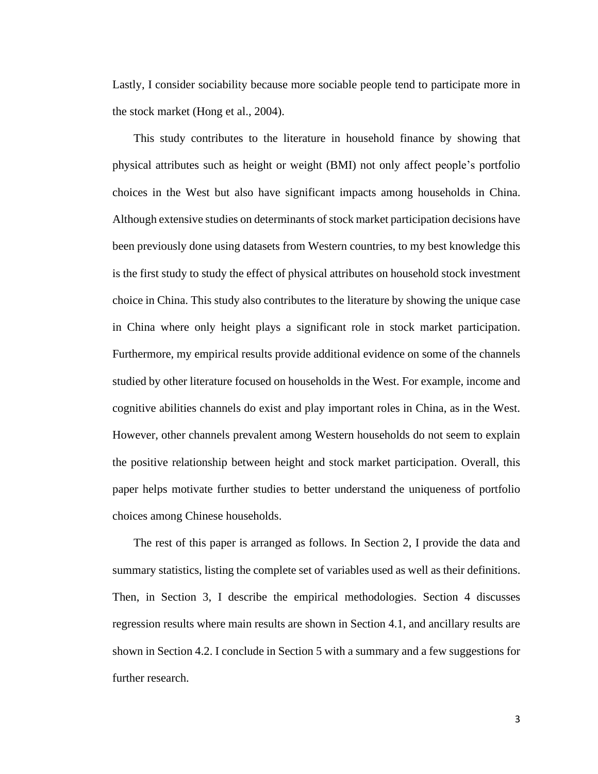Lastly, I consider sociability because more sociable people tend to participate more in the stock market (Hong et al., 2004).

This study contributes to the literature in household finance by showing that physical attributes such as height or weight (BMI) not only affect people's portfolio choices in the West but also have significant impacts among households in China. Although extensive studies on determinants of stock market participation decisions have been previously done using datasets from Western countries, to my best knowledge this is the first study to study the effect of physical attributes on household stock investment choice in China. This study also contributes to the literature by showing the unique case in China where only height plays a significant role in stock market participation. Furthermore, my empirical results provide additional evidence on some of the channels studied by other literature focused on households in the West. For example, income and cognitive abilities channels do exist and play important roles in China, as in the West. However, other channels prevalent among Western households do not seem to explain the positive relationship between height and stock market participation. Overall, this paper helps motivate further studies to better understand the uniqueness of portfolio choices among Chinese households.

The rest of this paper is arranged as follows. In Section 2, I provide the data and summary statistics, listing the complete set of variables used as well as their definitions. Then, in Section 3, I describe the empirical methodologies. Section 4 discusses regression results where main results are shown in Section 4.1, and ancillary results are shown in Section 4.2. I conclude in Section 5 with a summary and a few suggestions for further research.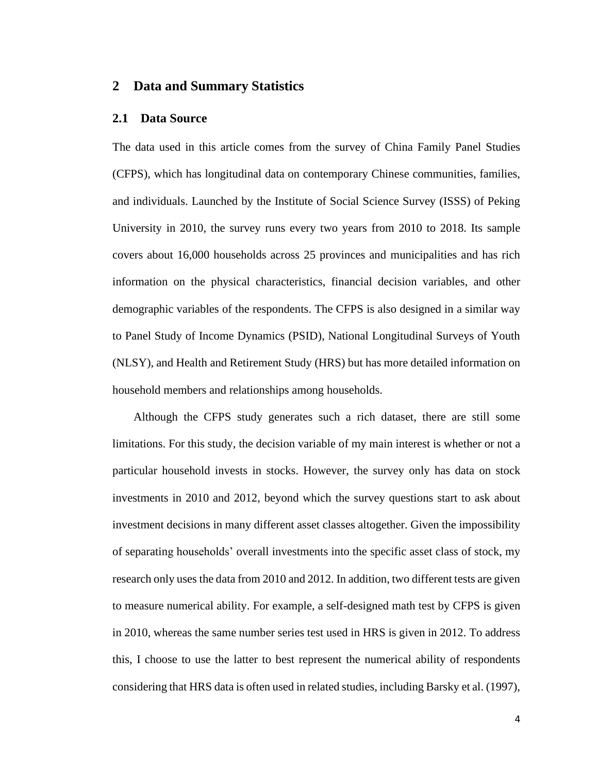### <span id="page-9-0"></span>**2 Data and Summary Statistics**

### <span id="page-9-1"></span>**2.1 Data Source**

The data used in this article comes from the survey of China Family Panel Studies (CFPS), which has longitudinal data on contemporary Chinese communities, families, and individuals. Launched by the Institute of Social Science Survey (ISSS) of Peking University in 2010, the survey runs every two years from 2010 to 2018. Its sample covers about 16,000 households across 25 provinces and municipalities and has rich information on the physical characteristics, financial decision variables, and other demographic variables of the respondents. The CFPS is also designed in a similar way to Panel Study of Income Dynamics (PSID), National Longitudinal Surveys of Youth (NLSY), and Health and Retirement Study (HRS) but has more detailed information on household members and relationships among households.

Although the CFPS study generates such a rich dataset, there are still some limitations. For this study, the decision variable of my main interest is whether or not a particular household invests in stocks. However, the survey only has data on stock investments in 2010 and 2012, beyond which the survey questions start to ask about investment decisions in many different asset classes altogether. Given the impossibility of separating households' overall investments into the specific asset class of stock, my research only uses the data from 2010 and 2012. In addition, two different tests are given to measure numerical ability. For example, a self-designed math test by CFPS is given in 2010, whereas the same number series test used in HRS is given in 2012. To address this, I choose to use the latter to best represent the numerical ability of respondents considering that HRS data is often used in related studies, including Barsky et al. (1997),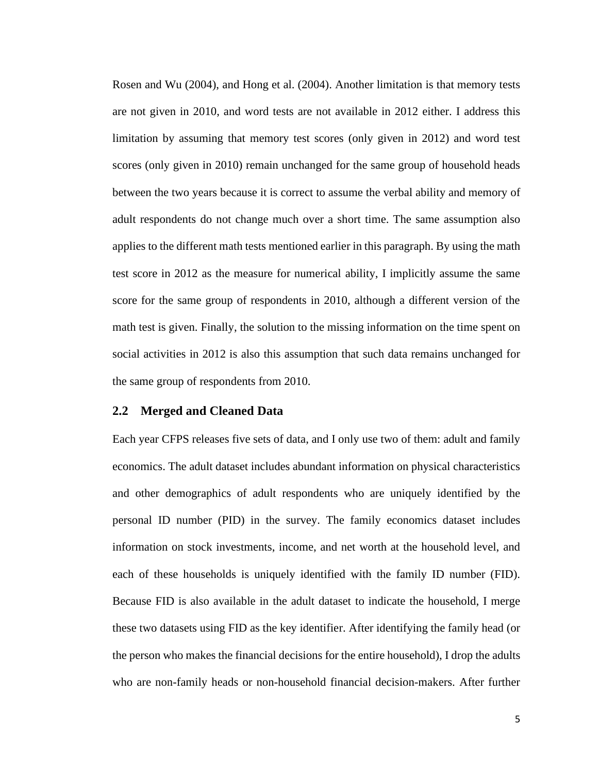Rosen and Wu (2004), and Hong et al. (2004). Another limitation is that memory tests are not given in 2010, and word tests are not available in 2012 either. I address this limitation by assuming that memory test scores (only given in 2012) and word test scores (only given in 2010) remain unchanged for the same group of household heads between the two years because it is correct to assume the verbal ability and memory of adult respondents do not change much over a short time. The same assumption also applies to the different math tests mentioned earlier in this paragraph. By using the math test score in 2012 as the measure for numerical ability, I implicitly assume the same score for the same group of respondents in 2010, although a different version of the math test is given. Finally, the solution to the missing information on the time spent on social activities in 2012 is also this assumption that such data remains unchanged for the same group of respondents from 2010.

#### <span id="page-10-0"></span>**2.2 Merged and Cleaned Data**

Each year CFPS releases five sets of data, and I only use two of them: adult and family economics. The adult dataset includes abundant information on physical characteristics and other demographics of adult respondents who are uniquely identified by the personal ID number (PID) in the survey. The family economics dataset includes information on stock investments, income, and net worth at the household level, and each of these households is uniquely identified with the family ID number (FID). Because FID is also available in the adult dataset to indicate the household, I merge these two datasets using FID as the key identifier. After identifying the family head (or the person who makes the financial decisions for the entire household), I drop the adults who are non-family heads or non-household financial decision-makers. After further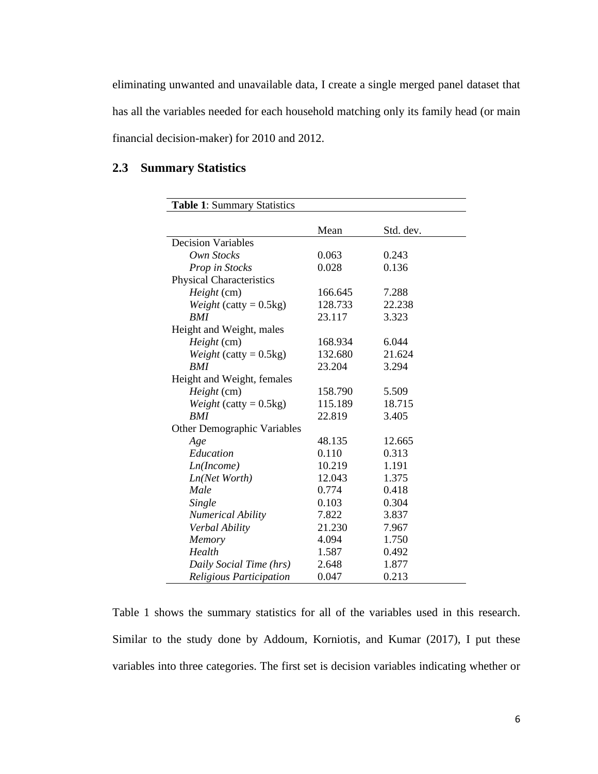eliminating unwanted and unavailable data, I create a single merged panel dataset that has all the variables needed for each household matching only its family head (or main financial decision-maker) for 2010 and 2012.

## <span id="page-11-0"></span>**2.3 Summary Statistics**

| <b>Table 1: Summary Statistics</b> |         |           |
|------------------------------------|---------|-----------|
|                                    |         |           |
|                                    | Mean    | Std. dev. |
| <b>Decision Variables</b>          |         |           |
| Own Stocks                         | 0.063   | 0.243     |
| Prop in Stocks                     | 0.028   | 0.136     |
| <b>Physical Characteristics</b>    |         |           |
| Height (cm)                        | 166.645 | 7.288     |
| <i>Weight</i> (catty = $0.5kg$ )   | 128.733 | 22.238    |
| <b>BMI</b>                         | 23.117  | 3.323     |
| Height and Weight, males           |         |           |
| Height (cm)                        | 168.934 | 6.044     |
| <i>Weight</i> (catty = $0.5kg$ )   | 132.680 | 21.624    |
| <b>BMI</b>                         | 23.204  | 3.294     |
| Height and Weight, females         |         |           |
| Height (cm)                        | 158.790 | 5.509     |
| <i>Weight</i> (catty = $0.5kg$ )   | 115.189 | 18.715    |
| <b>BMI</b>                         | 22.819  | 3.405     |
| <b>Other Demographic Variables</b> |         |           |
| Age                                | 48.135  | 12.665    |
| Education                          | 0.110   | 0.313     |
| Ln(Income)                         | 10.219  | 1.191     |
| Ln(Net Worth)                      | 12.043  | 1.375     |
| Male                               | 0.774   | 0.418     |
| Single                             | 0.103   | 0.304     |
| <b>Numerical Ability</b>           | 7.822   | 3.837     |
| Verbal Ability                     | 21.230  | 7.967     |
| Memory                             | 4.094   | 1.750     |
| Health                             | 1.587   | 0.492     |
| Daily Social Time (hrs)            | 2.648   | 1.877     |
| Religious Participation            | 0.047   | 0.213     |

Table 1 shows the summary statistics for all of the variables used in this research. Similar to the study done by Addoum, Korniotis, and Kumar (2017), I put these variables into three categories. The first set is decision variables indicating whether or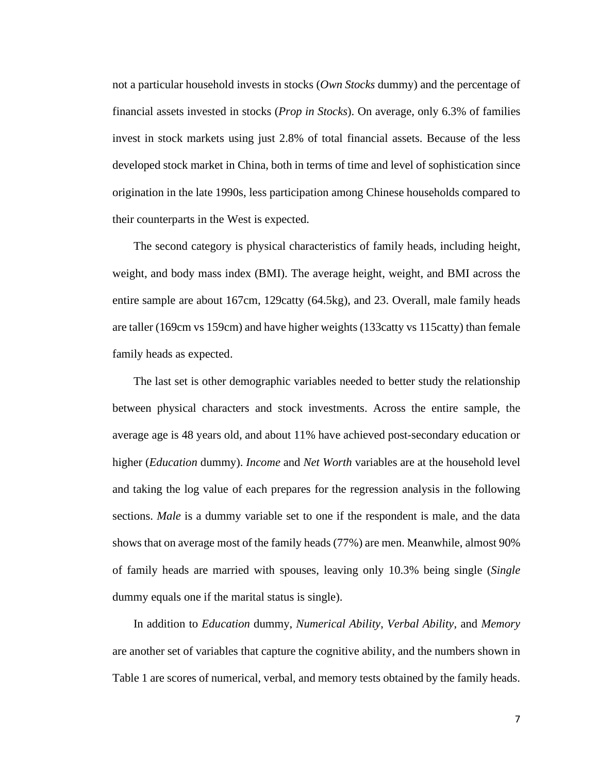not a particular household invests in stocks (*Own Stocks* dummy) and the percentage of financial assets invested in stocks (*Prop in Stocks*). On average, only 6.3% of families invest in stock markets using just 2.8% of total financial assets. Because of the less developed stock market in China, both in terms of time and level of sophistication since origination in the late 1990s, less participation among Chinese households compared to their counterparts in the West is expected.

The second category is physical characteristics of family heads, including height, weight, and body mass index (BMI). The average height, weight, and BMI across the entire sample are about 167cm, 129catty (64.5kg), and 23. Overall, male family heads are taller (169cm vs 159cm) and have higher weights (133catty vs 115catty) than female family heads as expected.

The last set is other demographic variables needed to better study the relationship between physical characters and stock investments. Across the entire sample, the average age is 48 years old, and about 11% have achieved post-secondary education or higher (*Education* dummy). *Income* and *Net Worth* variables are at the household level and taking the log value of each prepares for the regression analysis in the following sections. *Male* is a dummy variable set to one if the respondent is male, and the data shows that on average most of the family heads (77%) are men. Meanwhile, almost 90% of family heads are married with spouses, leaving only 10.3% being single (*Single* dummy equals one if the marital status is single).

In addition to *Education* dummy, *Numerical Ability*, *Verbal Ability*, and *Memory* are another set of variables that capture the cognitive ability, and the numbers shown in Table 1 are scores of numerical, verbal, and memory tests obtained by the family heads.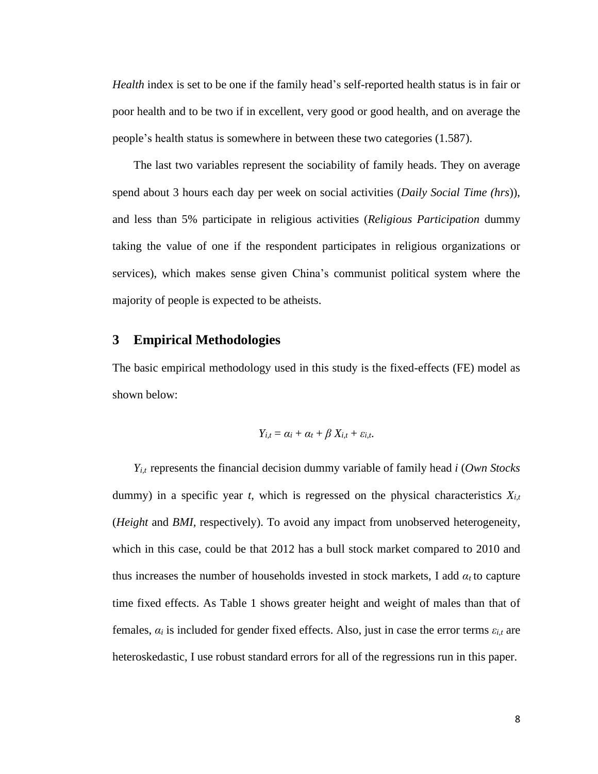*Health* index is set to be one if the family head's self-reported health status is in fair or poor health and to be two if in excellent, very good or good health, and on average the people's health status is somewhere in between these two categories (1.587).

The last two variables represent the sociability of family heads. They on average spend about 3 hours each day per week on social activities (*Daily Social Time (hrs*)), and less than 5% participate in religious activities (*Religious Participation* dummy taking the value of one if the respondent participates in religious organizations or services), which makes sense given China's communist political system where the majority of people is expected to be atheists.

### <span id="page-13-0"></span>**3 Empirical Methodologies**

The basic empirical methodology used in this study is the fixed-effects (FE) model as shown below:

$$
Y_{i,t} = \alpha_i + \alpha_t + \beta X_{i,t} + \varepsilon_{i,t}.
$$

*Yi,t* represents the financial decision dummy variable of family head *i* (*Own Stocks* dummy) in a specific year *t*, which is regressed on the physical characteristics  $X_{i,t}$ (*Height* and *BMI,* respectively). To avoid any impact from unobserved heterogeneity, which in this case, could be that 2012 has a bull stock market compared to 2010 and thus increases the number of households invested in stock markets, I add  $\alpha_t$  to capture time fixed effects. As Table 1 shows greater height and weight of males than that of females,  $\alpha_i$  is included for gender fixed effects. Also, just in case the error terms  $\varepsilon_{i,t}$  are heteroskedastic, I use robust standard errors for all of the regressions run in this paper.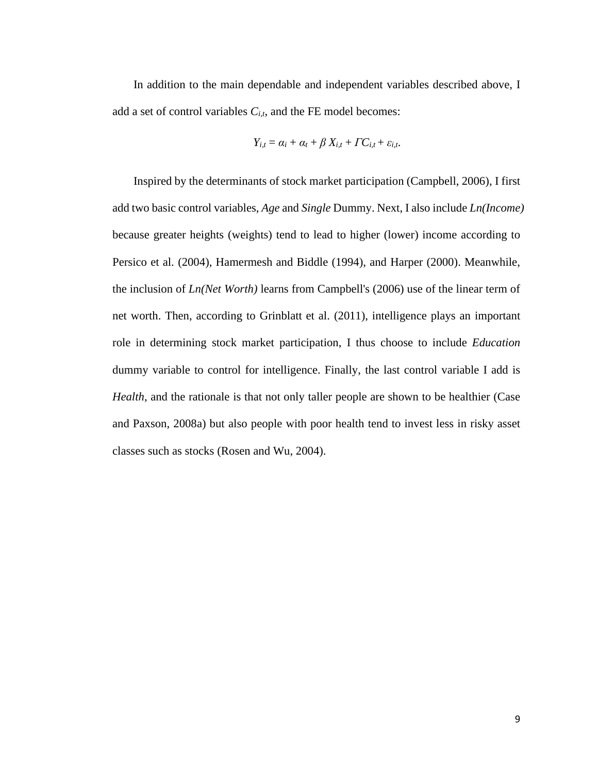In addition to the main dependable and independent variables described above, I add a set of control variables *Ci,t*, and the FE model becomes:

$$
Y_{i,t} = \alpha_i + \alpha_t + \beta X_{i,t} + \Gamma C_{i,t} + \varepsilon_{i,t}.
$$

Inspired by the determinants of stock market participation (Campbell, 2006), I first add two basic control variables, *Age* and *Single* Dummy. Next, I also include *Ln(Income)* because greater heights (weights) tend to lead to higher (lower) income according to Persico et al. (2004), Hamermesh and Biddle (1994), and Harper (2000). Meanwhile, the inclusion of *Ln(Net Worth)* learns from Campbell's (2006) use of the linear term of net worth. Then, according to Grinblatt et al. (2011), intelligence plays an important role in determining stock market participation, I thus choose to include *Education* dummy variable to control for intelligence. Finally, the last control variable I add is *Health*, and the rationale is that not only taller people are shown to be healthier (Case and Paxson, 2008a) but also people with poor health tend to invest less in risky asset classes such as stocks (Rosen and Wu, 2004).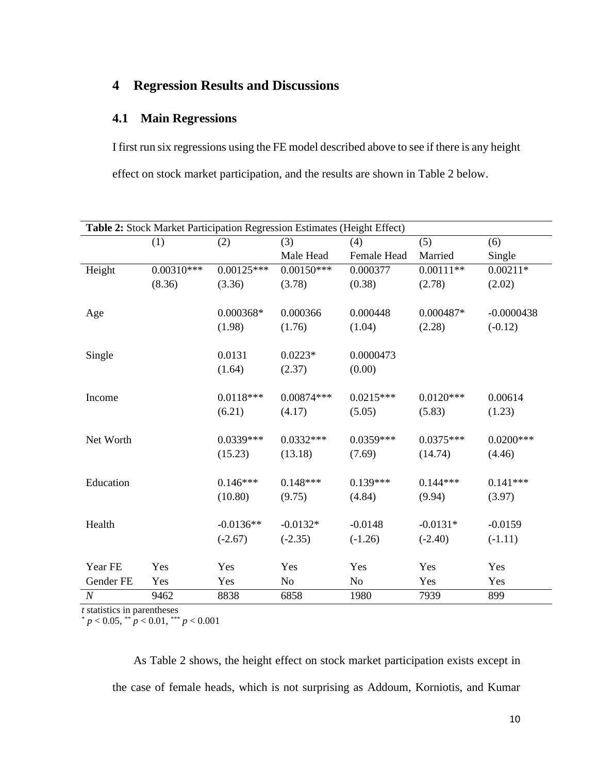# <span id="page-15-0"></span>**4 Regression Results and Discussions**

## <span id="page-15-1"></span>**4.1 Main Regressions**

I first run six regressions using the FE model described above to see if there is any height effect on stock market participation, and the results are shown in Table 2 below.

| Table 2: Stock Market Participation Regression Estimates (Height Effect) |              |              |                |                |             |              |  |  |
|--------------------------------------------------------------------------|--------------|--------------|----------------|----------------|-------------|--------------|--|--|
|                                                                          | (1)          | (2)          | (3)            | (4)            | (5)         | (6)          |  |  |
|                                                                          |              |              | Male Head      | Female Head    | Married     | Single       |  |  |
| Height                                                                   | $0.00310***$ | $0.00125***$ | $0.00150***$   | 0.000377       | $0.00111**$ | $0.00211*$   |  |  |
|                                                                          | (8.36)       | (3.36)       | (3.78)         | (0.38)         | (2.78)      | (2.02)       |  |  |
|                                                                          |              |              |                |                |             |              |  |  |
| Age                                                                      |              | 0.000368*    | 0.000366       | 0.000448       | 0.000487*   | $-0.0000438$ |  |  |
|                                                                          |              | (1.98)       | (1.76)         | (1.04)         | (2.28)      | $(-0.12)$    |  |  |
|                                                                          |              |              |                |                |             |              |  |  |
| Single                                                                   |              | 0.0131       | $0.0223*$      | 0.0000473      |             |              |  |  |
|                                                                          |              | (1.64)       | (2.37)         | (0.00)         |             |              |  |  |
|                                                                          |              |              |                |                |             |              |  |  |
| Income                                                                   |              | $0.0118***$  | $0.00874***$   | $0.0215***$    | $0.0120***$ | 0.00614      |  |  |
|                                                                          |              | (6.21)       | (4.17)         | (5.05)         | (5.83)      | (1.23)       |  |  |
|                                                                          |              |              |                |                |             |              |  |  |
| Net Worth                                                                |              | $0.0339***$  | $0.0332***$    | $0.0359***$    | $0.0375***$ | $0.0200***$  |  |  |
|                                                                          |              | (15.23)      | (13.18)        | (7.69)         | (14.74)     | (4.46)       |  |  |
|                                                                          |              |              |                |                |             |              |  |  |
| Education                                                                |              | $0.146***$   | $0.148***$     | $0.139***$     | $0.144***$  | $0.141***$   |  |  |
|                                                                          |              | (10.80)      | (9.75)         | (4.84)         | (9.94)      | (3.97)       |  |  |
|                                                                          |              |              |                |                |             |              |  |  |
| Health                                                                   |              | $-0.0136**$  | $-0.0132*$     | $-0.0148$      | $-0.0131*$  | $-0.0159$    |  |  |
|                                                                          |              | $(-2.67)$    | $(-2.35)$      | $(-1.26)$      | $(-2.40)$   | $(-1.11)$    |  |  |
|                                                                          |              |              |                |                |             |              |  |  |
| Year FE                                                                  | Yes          | Yes          | Yes            | Yes            | Yes         | Yes          |  |  |
| Gender FE                                                                | Yes          | Yes          | N <sub>o</sub> | N <sub>o</sub> | Yes         | Yes          |  |  |
| $\boldsymbol{N}$                                                         | 9462         | 8838         | 6858           | 1980           | 7939        | 899          |  |  |

*t* statistics in parentheses

 $p < 0.05$ ,  $p < 0.01$ ,  $p < 0.001$ 

As Table 2 shows, the height effect on stock market participation exists except in the case of female heads, which is not surprising as Addoum, Korniotis, and Kumar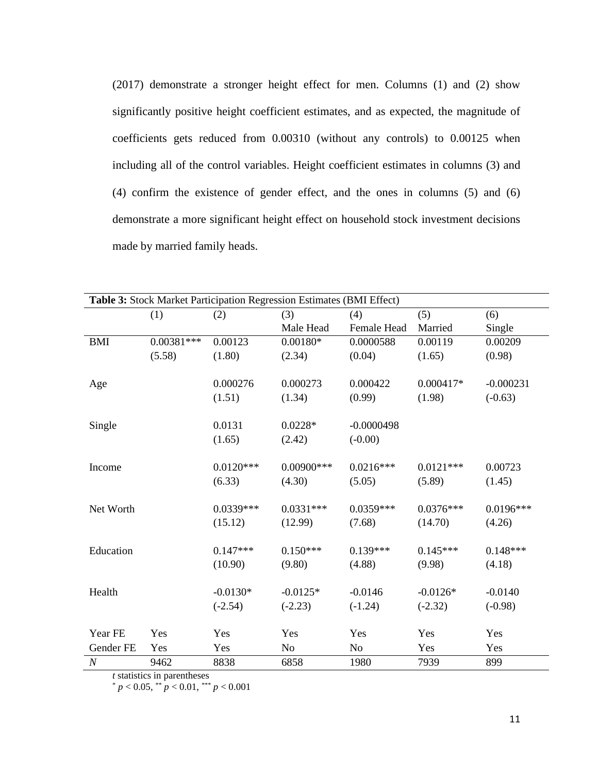(2017) demonstrate a stronger height effect for men. Columns (1) and (2) show significantly positive height coefficient estimates, and as expected, the magnitude of coefficients gets reduced from 0.00310 (without any controls) to 0.00125 when including all of the control variables. Height coefficient estimates in columns (3) and (4) confirm the existence of gender effect, and the ones in columns (5) and (6) demonstrate a more significant height effect on household stock investment decisions made by married family heads.

| Table 3: Stock Market Participation Regression Estimates (BMI Effect) |              |             |                |              |             |             |  |  |
|-----------------------------------------------------------------------|--------------|-------------|----------------|--------------|-------------|-------------|--|--|
|                                                                       | (1)          | (2)         | (3)            | (4)          | (5)         | (6)         |  |  |
|                                                                       |              |             | Male Head      | Female Head  | Married     | Single      |  |  |
| <b>BMI</b>                                                            | $0.00381***$ | 0.00123     | $0.00180*$     | 0.0000588    | 0.00119     | 0.00209     |  |  |
|                                                                       | (5.58)       | (1.80)      | (2.34)         | (0.04)       | (1.65)      | (0.98)      |  |  |
|                                                                       |              |             |                |              |             |             |  |  |
| Age                                                                   |              | 0.000276    | 0.000273       | 0.000422     | $0.000417*$ | $-0.000231$ |  |  |
|                                                                       |              | (1.51)      | (1.34)         | (0.99)       | (1.98)      | $(-0.63)$   |  |  |
|                                                                       |              |             |                |              |             |             |  |  |
| Single                                                                |              | 0.0131      | $0.0228*$      | $-0.0000498$ |             |             |  |  |
|                                                                       |              | (1.65)      | (2.42)         | $(-0.00)$    |             |             |  |  |
|                                                                       |              |             |                |              |             |             |  |  |
| Income                                                                |              | $0.0120***$ | $0.00900$ ***  | $0.0216***$  | $0.0121***$ | 0.00723     |  |  |
|                                                                       |              | (6.33)      | (4.30)         | (5.05)       | (5.89)      | (1.45)      |  |  |
|                                                                       |              |             |                |              |             |             |  |  |
| Net Worth                                                             |              | $0.0339***$ | $0.0331***$    | $0.0359***$  | $0.0376***$ | $0.0196***$ |  |  |
|                                                                       |              | (15.12)     | (12.99)        | (7.68)       | (14.70)     | (4.26)      |  |  |
|                                                                       |              |             |                |              |             |             |  |  |
| Education                                                             |              | $0.147***$  | $0.150***$     | $0.139***$   | $0.145***$  | $0.148***$  |  |  |
|                                                                       |              | (10.90)     | (9.80)         | (4.88)       | (9.98)      | (4.18)      |  |  |
|                                                                       |              |             |                |              |             |             |  |  |
| Health                                                                |              | $-0.0130*$  | $-0.0125*$     | $-0.0146$    | $-0.0126*$  | $-0.0140$   |  |  |
|                                                                       |              | $(-2.54)$   | $(-2.23)$      | $(-1.24)$    | $(-2.32)$   | $(-0.98)$   |  |  |
|                                                                       |              |             |                |              |             |             |  |  |
| Year FE                                                               | Yes          | Yes         | Yes            | Yes          | Yes         | Yes         |  |  |
| Gender FE                                                             | Yes          | Yes         | N <sub>o</sub> | <b>No</b>    | Yes         | Yes         |  |  |
| $\cal N$                                                              | 9462         | 8838        | 6858           | 1980         | 7939        | 899         |  |  |

*t* statistics in parentheses

\* *p* < 0.05, \*\* *p* < 0.01, \*\*\* *p* < 0.001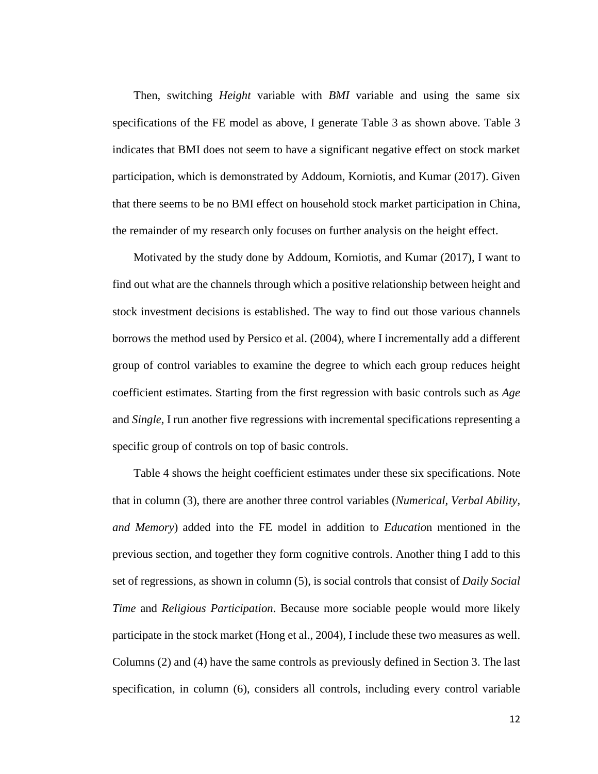Then, switching *Height* variable with *BMI* variable and using the same six specifications of the FE model as above, I generate Table 3 as shown above. Table 3 indicates that BMI does not seem to have a significant negative effect on stock market participation, which is demonstrated by Addoum, Korniotis, and Kumar (2017). Given that there seems to be no BMI effect on household stock market participation in China, the remainder of my research only focuses on further analysis on the height effect.

Motivated by the study done by Addoum, Korniotis, and Kumar (2017), I want to find out what are the channels through which a positive relationship between height and stock investment decisions is established. The way to find out those various channels borrows the method used by Persico et al. (2004), where I incrementally add a different group of control variables to examine the degree to which each group reduces height coefficient estimates. Starting from the first regression with basic controls such as *Age*  and *Single*, I run another five regressions with incremental specifications representing a specific group of controls on top of basic controls.

Table 4 shows the height coefficient estimates under these six specifications. Note that in column (3), there are another three control variables (*Numerical, Verbal Ability, and Memory*) added into the FE model in addition to *Educatio*n mentioned in the previous section, and together they form cognitive controls. Another thing I add to this set of regressions, as shown in column (5), is social controls that consist of *Daily Social Time* and *Religious Participation*. Because more sociable people would more likely participate in the stock market (Hong et al., 2004), I include these two measures as well. Columns (2) and (4) have the same controls as previously defined in Section 3. The last specification, in column (6), considers all controls, including every control variable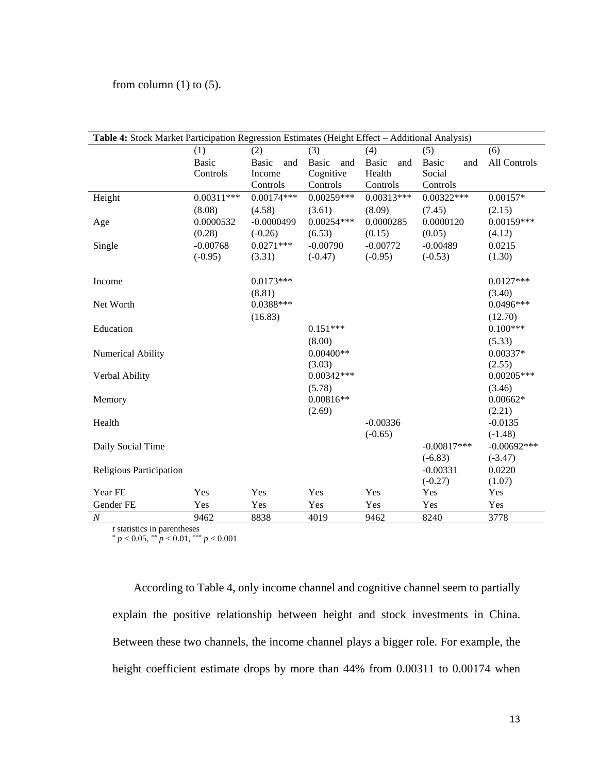#### from column  $(1)$  to  $(5)$ .

| Table 4: Stock Market Participation Regression Estimates (Height Effect - Additional Analysis) |              |                     |              |                     |                     |                     |  |  |
|------------------------------------------------------------------------------------------------|--------------|---------------------|--------------|---------------------|---------------------|---------------------|--|--|
|                                                                                                | (1)          | (2)                 | (3)          | (4)                 | (5)                 | (6)                 |  |  |
|                                                                                                | <b>Basic</b> | <b>Basic</b><br>and | Basic<br>and | <b>Basic</b><br>and | <b>Basic</b><br>and | <b>All Controls</b> |  |  |
|                                                                                                | Controls     | Income              | Cognitive    | Health              | Social              |                     |  |  |
|                                                                                                |              | Controls            | Controls     | Controls            | Controls            |                     |  |  |
| Height                                                                                         | $0.00311***$ | $0.00174***$        | $0.00259***$ | $0.00313***$        | $0.00322***$        | $0.00157*$          |  |  |
|                                                                                                | (8.08)       | (4.58)              | (3.61)       | (8.09)              | (7.45)              | (2.15)              |  |  |
| Age                                                                                            | 0.0000532    | $-0.0000499$        | $0.00254***$ | 0.0000285           | 0.0000120           | $0.00159***$        |  |  |
|                                                                                                | (0.28)       | $(-0.26)$           | (6.53)       | (0.15)              | (0.05)              | (4.12)              |  |  |
| Single                                                                                         | $-0.00768$   | $0.0271***$         | $-0.00790$   | $-0.00772$          | $-0.00489$          | 0.0215              |  |  |
|                                                                                                | $(-0.95)$    | (3.31)              | $(-0.47)$    | $(-0.95)$           | $(-0.53)$           | (1.30)              |  |  |
|                                                                                                |              |                     |              |                     |                     |                     |  |  |
| Income                                                                                         |              | $0.0173***$         |              |                     |                     | $0.0127***$         |  |  |
|                                                                                                |              | (8.81)              |              |                     |                     | (3.40)              |  |  |
| Net Worth                                                                                      |              | $0.0388***$         |              |                     |                     | $0.0496***$         |  |  |
|                                                                                                |              | (16.83)             |              |                     |                     | (12.70)             |  |  |
| Education                                                                                      |              |                     | $0.151***$   |                     |                     | $0.100***$          |  |  |
|                                                                                                |              |                     | (8.00)       |                     |                     | (5.33)              |  |  |
| Numerical Ability                                                                              |              |                     | $0.00400**$  |                     |                     | $0.00337*$          |  |  |
|                                                                                                |              |                     | (3.03)       |                     |                     | (2.55)              |  |  |
| Verbal Ability                                                                                 |              |                     | $0.00342***$ |                     |                     | $0.00205***$        |  |  |
|                                                                                                |              |                     | (5.78)       |                     |                     | (3.46)              |  |  |
| Memory                                                                                         |              |                     | $0.00816**$  |                     |                     | $0.00662*$          |  |  |
|                                                                                                |              |                     | (2.69)       |                     |                     | (2.21)              |  |  |
| Health                                                                                         |              |                     |              | $-0.00336$          |                     | $-0.0135$           |  |  |
|                                                                                                |              |                     |              | $(-0.65)$           |                     | $(-1.48)$           |  |  |
| Daily Social Time                                                                              |              |                     |              |                     | $-0.00817***$       | $-0.00692***$       |  |  |
|                                                                                                |              |                     |              |                     | $(-6.83)$           | $(-3.47)$           |  |  |
| Religious Participation                                                                        |              |                     |              |                     | $-0.00331$          | 0.0220              |  |  |
|                                                                                                |              |                     |              |                     | $(-0.27)$           | (1.07)              |  |  |
| Year FE                                                                                        | Yes          | Yes                 | Yes          | Yes                 | Yes                 | Yes                 |  |  |
| Gender FE                                                                                      | Yes          | Yes                 | Yes          | Yes                 | Yes                 | Yes                 |  |  |
| $\cal N$                                                                                       | 9462         | 8838                | 4019         | 9462                | 8240                | 3778                |  |  |

*t* statistics in parentheses

\* *p* < 0.05, \*\* *p* < 0.01, \*\*\* *p* < 0.001

According to Table 4, only income channel and cognitive channel seem to partially explain the positive relationship between height and stock investments in China. Between these two channels, the income channel plays a bigger role. For example, the height coefficient estimate drops by more than 44% from 0.00311 to 0.00174 when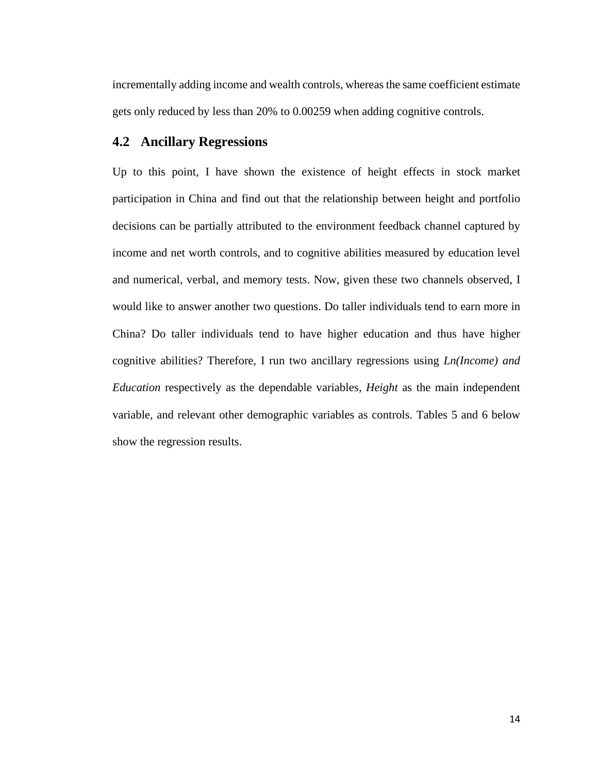incrementally adding income and wealth controls, whereas the same coefficient estimate gets only reduced by less than 20% to 0.00259 when adding cognitive controls.

## <span id="page-19-0"></span>**4.2 Ancillary Regressions**

Up to this point, I have shown the existence of height effects in stock market participation in China and find out that the relationship between height and portfolio decisions can be partially attributed to the environment feedback channel captured by income and net worth controls, and to cognitive abilities measured by education level and numerical, verbal, and memory tests. Now, given these two channels observed, I would like to answer another two questions. Do taller individuals tend to earn more in China? Do taller individuals tend to have higher education and thus have higher cognitive abilities? Therefore, I run two ancillary regressions using *Ln(Income) and Education* respectively as the dependable variables, *Height* as the main independent variable, and relevant other demographic variables as controls. Tables 5 and 6 below show the regression results.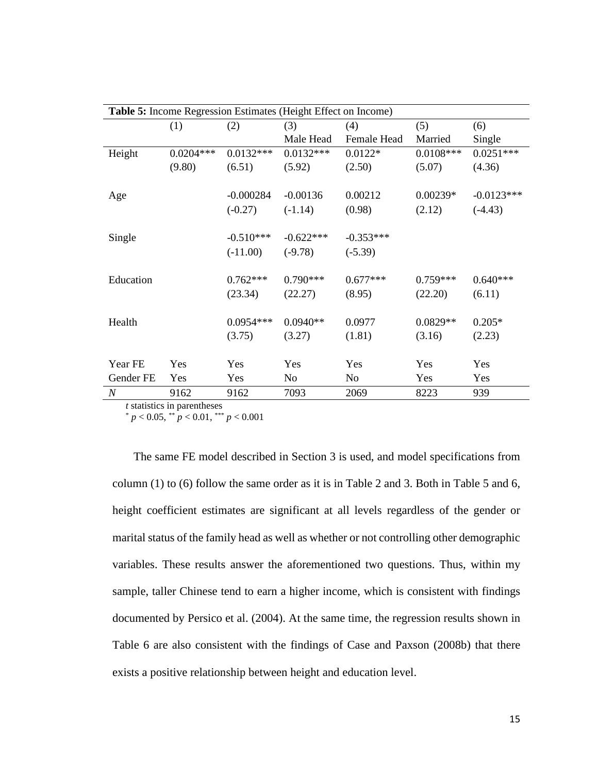| <b>Table 5:</b> Income Regression Estimates (Height Effect on Income) |             |             |                |             |             |              |  |  |
|-----------------------------------------------------------------------|-------------|-------------|----------------|-------------|-------------|--------------|--|--|
|                                                                       | (1)         | (2)         | (3)            | (4)         | (5)         | (6)          |  |  |
|                                                                       |             |             | Male Head      | Female Head | Married     | Single       |  |  |
| Height                                                                | $0.0204***$ | $0.0132***$ | $0.0132***$    | $0.0122*$   | $0.0108***$ | $0.0251***$  |  |  |
|                                                                       | (9.80)      | (6.51)      | (5.92)         | (2.50)      | (5.07)      | (4.36)       |  |  |
|                                                                       |             |             |                |             |             |              |  |  |
| Age                                                                   |             | $-0.000284$ | $-0.00136$     | 0.00212     | $0.00239*$  | $-0.0123***$ |  |  |
|                                                                       |             | $(-0.27)$   | $(-1.14)$      | (0.98)      | (2.12)      | $(-4.43)$    |  |  |
|                                                                       |             |             |                |             |             |              |  |  |
| Single                                                                |             | $-0.510***$ | $-0.622***$    | $-0.353***$ |             |              |  |  |
|                                                                       |             | $(-11.00)$  | $(-9.78)$      | $(-5.39)$   |             |              |  |  |
|                                                                       |             |             |                |             |             |              |  |  |
| Education                                                             |             | $0.762***$  | $0.790***$     | $0.677***$  | $0.759***$  | $0.640***$   |  |  |
|                                                                       |             | (23.34)     | (22.27)        | (8.95)      | (22.20)     | (6.11)       |  |  |
|                                                                       |             |             |                |             |             |              |  |  |
| Health                                                                |             | $0.0954***$ | $0.0940**$     | 0.0977      | $0.0829**$  | $0.205*$     |  |  |
|                                                                       |             | (3.75)      | (3.27)         | (1.81)      | (3.16)      | (2.23)       |  |  |
|                                                                       |             |             |                |             |             |              |  |  |
| Year FE                                                               | Yes         | Yes         | Yes            | Yes         | Yes         | Yes          |  |  |
| Gender FE                                                             | Yes         | Yes         | N <sub>0</sub> | No          | Yes         | Yes          |  |  |
| N                                                                     | 9162        | 9162        | 7093           | 2069        | 8223        | 939          |  |  |

*t* statistics in parentheses

\* *p* < 0.05, \*\* *p* < 0.01, \*\*\* *p* < 0.001

The same FE model described in Section 3 is used, and model specifications from column (1) to (6) follow the same order as it is in Table 2 and 3. Both in Table 5 and 6, height coefficient estimates are significant at all levels regardless of the gender or marital status of the family head as well as whether or not controlling other demographic variables. These results answer the aforementioned two questions. Thus, within my sample, taller Chinese tend to earn a higher income, which is consistent with findings documented by Persico et al. (2004). At the same time, the regression results shown in Table 6 are also consistent with the findings of Case and Paxson (2008b) that there exists a positive relationship between height and education level.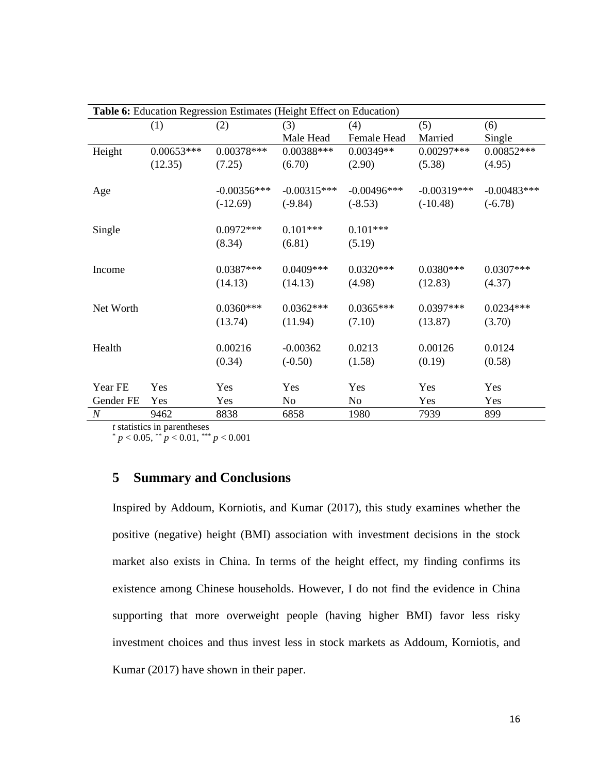| Table 6: Education Regression Estimates (Height Effect on Education) |              |               |               |                |               |               |  |  |
|----------------------------------------------------------------------|--------------|---------------|---------------|----------------|---------------|---------------|--|--|
|                                                                      | (1)          | (2)           | (3)           | (4)            | (5)           | (6)           |  |  |
|                                                                      |              |               | Male Head     | Female Head    | Married       | Single        |  |  |
| Height                                                               | $0.00653***$ | $0.00378***$  | 0.00388***    | 0.00349**      | $0.00297***$  | $0.00852***$  |  |  |
|                                                                      | (12.35)      | (7.25)        | (6.70)        | (2.90)         | (5.38)        | (4.95)        |  |  |
|                                                                      |              |               |               |                |               |               |  |  |
| Age                                                                  |              | $-0.00356***$ | $-0.00315***$ | $-0.00496***$  | $-0.00319***$ | $-0.00483***$ |  |  |
|                                                                      |              | $(-12.69)$    | $(-9.84)$     | $(-8.53)$      | $(-10.48)$    | $(-6.78)$     |  |  |
| Single                                                               |              | $0.0972***$   | $0.101***$    | $0.101***$     |               |               |  |  |
|                                                                      |              | (8.34)        | (6.81)        | (5.19)         |               |               |  |  |
|                                                                      |              |               |               |                |               |               |  |  |
| Income                                                               |              | $0.0387***$   | $0.0409***$   | $0.0320***$    | $0.0380***$   | $0.0307***$   |  |  |
|                                                                      |              | (14.13)       | (14.13)       | (4.98)         | (12.83)       | (4.37)        |  |  |
| Net Worth                                                            |              | $0.0360***$   | $0.0362***$   | $0.0365***$    | $0.0397***$   | $0.0234***$   |  |  |
|                                                                      |              | (13.74)       | (11.94)       | (7.10)         | (13.87)       | (3.70)        |  |  |
|                                                                      |              |               |               |                |               |               |  |  |
| Health                                                               |              | 0.00216       | $-0.00362$    | 0.0213         | 0.00126       | 0.0124        |  |  |
|                                                                      |              | (0.34)        | $(-0.50)$     | (1.58)         | (0.19)        | (0.58)        |  |  |
|                                                                      |              |               |               |                |               |               |  |  |
| Year FE                                                              | Yes          | Yes           | Yes           | Yes            | Yes           | Yes           |  |  |
| Gender FE                                                            | Yes          | Yes           | No            | N <sub>o</sub> | Yes           | Yes           |  |  |
| $\boldsymbol{N}$                                                     | 9462         | 8838          | 6858          | 1980           | 7939          | 899           |  |  |

*t* statistics in parentheses

\* *p* < 0.05, \*\* *p* < 0.01, \*\*\* *p* < 0.001

## <span id="page-21-0"></span>**5 Summary and Conclusions**

Inspired by Addoum, Korniotis, and Kumar (2017), this study examines whether the positive (negative) height (BMI) association with investment decisions in the stock market also exists in China. In terms of the height effect, my finding confirms its existence among Chinese households. However, I do not find the evidence in China supporting that more overweight people (having higher BMI) favor less risky investment choices and thus invest less in stock markets as Addoum, Korniotis, and Kumar (2017) have shown in their paper.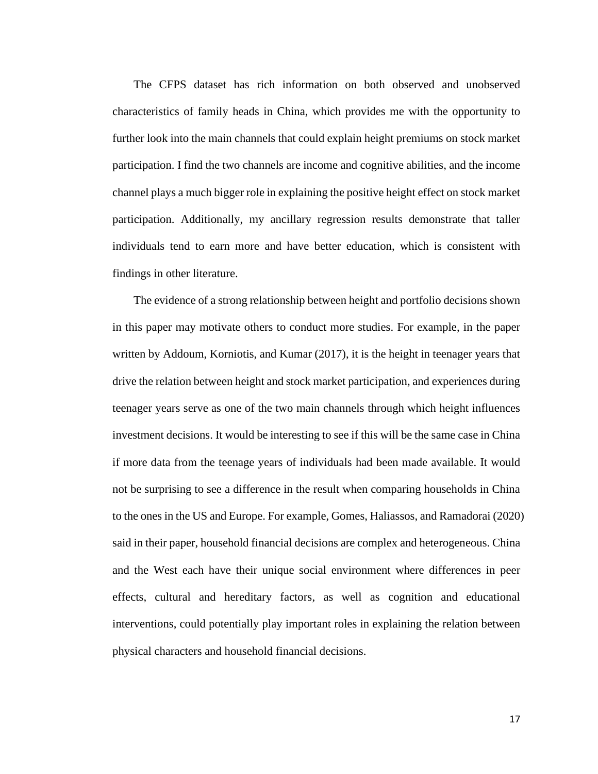The CFPS dataset has rich information on both observed and unobserved characteristics of family heads in China, which provides me with the opportunity to further look into the main channels that could explain height premiums on stock market participation. I find the two channels are income and cognitive abilities, and the income channel plays a much bigger role in explaining the positive height effect on stock market participation. Additionally, my ancillary regression results demonstrate that taller individuals tend to earn more and have better education, which is consistent with findings in other literature.

The evidence of a strong relationship between height and portfolio decisions shown in this paper may motivate others to conduct more studies. For example, in the paper written by Addoum, Korniotis, and Kumar (2017), it is the height in teenager years that drive the relation between height and stock market participation, and experiences during teenager years serve as one of the two main channels through which height influences investment decisions. It would be interesting to see if this will be the same case in China if more data from the teenage years of individuals had been made available. It would not be surprising to see a difference in the result when comparing households in China to the ones in the US and Europe. For example, Gomes, Haliassos, and Ramadorai (2020) said in their paper, household financial decisions are complex and heterogeneous. China and the West each have their unique social environment where differences in peer effects, cultural and hereditary factors, as well as cognition and educational interventions, could potentially play important roles in explaining the relation between physical characters and household financial decisions.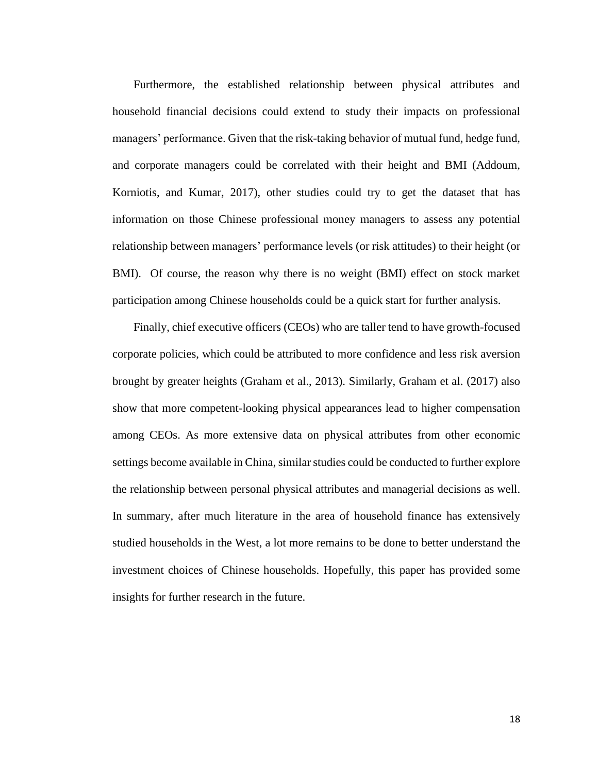Furthermore, the established relationship between physical attributes and household financial decisions could extend to study their impacts on professional managers' performance. Given that the risk-taking behavior of mutual fund, hedge fund, and corporate managers could be correlated with their height and BMI (Addoum, Korniotis, and Kumar, 2017), other studies could try to get the dataset that has information on those Chinese professional money managers to assess any potential relationship between managers' performance levels (or risk attitudes) to their height (or BMI). Of course, the reason why there is no weight (BMI) effect on stock market participation among Chinese households could be a quick start for further analysis.

Finally, chief executive officers (CEOs) who are taller tend to have growth-focused corporate policies, which could be attributed to more confidence and less risk aversion brought by greater heights (Graham et al., 2013). Similarly, Graham et al. (2017) also show that more competent-looking physical appearances lead to higher compensation among CEOs. As more extensive data on physical attributes from other economic settings become available in China, similar studies could be conducted to further explore the relationship between personal physical attributes and managerial decisions as well. In summary, after much literature in the area of household finance has extensively studied households in the West, a lot more remains to be done to better understand the investment choices of Chinese households. Hopefully, this paper has provided some insights for further research in the future.